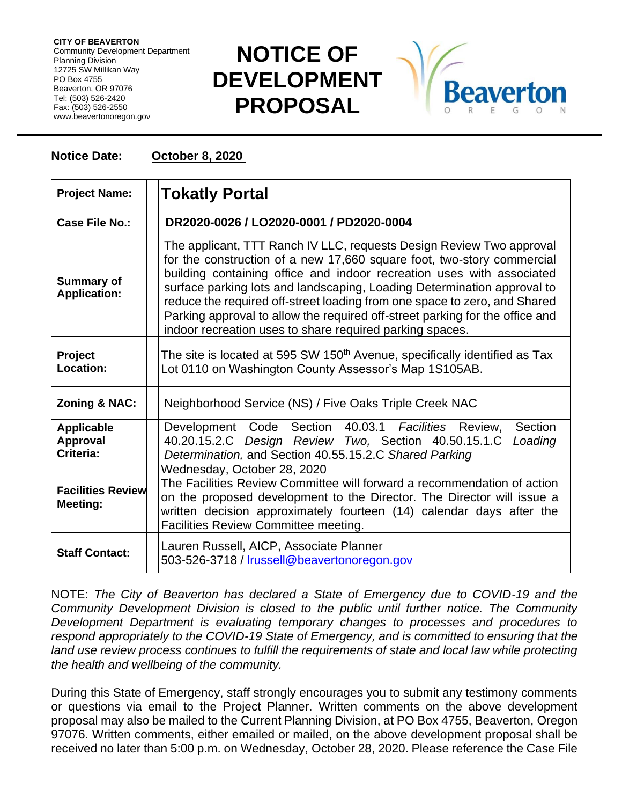**CITY OF BEAVERTON** Community Development Department Planning Division 12725 SW Millikan Way PO Box 4755 Beaverton, OR 97076 Tel: (503) 526-2420 Fax: (503) 526-2550 www.beavertonoregon.gov

## **NOTICE OF DEVELOPMENT PROPOSAL**



## **Notice Date: October 8, 2020**

| <b>Project Name:</b>                              | <b>Tokatly Portal</b>                                                                                                                                                                                                                                                                                                                                                                                                                                                                                                       |
|---------------------------------------------------|-----------------------------------------------------------------------------------------------------------------------------------------------------------------------------------------------------------------------------------------------------------------------------------------------------------------------------------------------------------------------------------------------------------------------------------------------------------------------------------------------------------------------------|
| Case File No.:                                    | DR2020-0026 / LO2020-0001 / PD2020-0004                                                                                                                                                                                                                                                                                                                                                                                                                                                                                     |
| <b>Summary of</b><br><b>Application:</b>          | The applicant, TTT Ranch IV LLC, requests Design Review Two approval<br>for the construction of a new 17,660 square foot, two-story commercial<br>building containing office and indoor recreation uses with associated<br>surface parking lots and landscaping, Loading Determination approval to<br>reduce the required off-street loading from one space to zero, and Shared<br>Parking approval to allow the required off-street parking for the office and<br>indoor recreation uses to share required parking spaces. |
| Project<br><b>Location:</b>                       | The site is located at 595 SW 150 <sup>th</sup> Avenue, specifically identified as Tax<br>Lot 0110 on Washington County Assessor's Map 1S105AB.                                                                                                                                                                                                                                                                                                                                                                             |
| <b>Zoning &amp; NAC:</b>                          | Neighborhood Service (NS) / Five Oaks Triple Creek NAC                                                                                                                                                                                                                                                                                                                                                                                                                                                                      |
| <b>Applicable</b><br><b>Approval</b><br>Criteria: | Development Code Section 40.03.1 Facilities Review,<br>Section<br>40.20.15.2.C Design Review Two, Section 40.50.15.1.C<br>Loading<br>Determination, and Section 40.55.15.2.C Shared Parking                                                                                                                                                                                                                                                                                                                                 |
| <b>Facilities Review</b><br>Meeting:              | Wednesday, October 28, 2020<br>The Facilities Review Committee will forward a recommendation of action<br>on the proposed development to the Director. The Director will issue a<br>written decision approximately fourteen (14) calendar days after the<br>Facilities Review Committee meeting.                                                                                                                                                                                                                            |
| <b>Staff Contact:</b>                             | Lauren Russell, AICP, Associate Planner<br>503-526-3718 / Irussell@beavertonoregon.gov                                                                                                                                                                                                                                                                                                                                                                                                                                      |

NOTE: *The City of Beaverton has declared a State of Emergency due to COVID-19 and the Community Development Division is closed to the public until further notice. The Community Development Department is evaluating temporary changes to processes and procedures to respond appropriately to the COVID-19 State of Emergency, and is committed to ensuring that the*  land use review process continues to fulfill the requirements of state and local law while protecting *the health and wellbeing of the community.*

During this State of Emergency, staff strongly encourages you to submit any testimony comments or questions via email to the Project Planner. Written comments on the above development proposal may also be mailed to the Current Planning Division, at PO Box 4755, Beaverton, Oregon 97076. Written comments, either emailed or mailed, on the above development proposal shall be received no later than 5:00 p.m. on Wednesday, October 28, 2020. Please reference the Case File